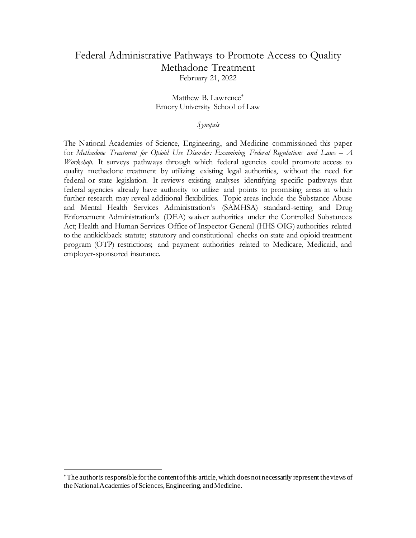## Federal Administrative Pathways to Promote Access to Quality Methadone Treatment February 21, 2022

## Matthew B. Lawrence Emory University School of Law

#### *Synopsis*

The National Academies of Science, Engineering, and Medicine commissioned this paper for *Methadone Treatment for Opioid Use Disorder: Examining Federal Regulations and Laws – A Workshop.* It surveys pathways through which federal agencies could promote access to quality methadone treatment by utilizing existing legal authorities, without the need for federal or state legislation. It reviews existing analyses identifying specific pathways that federal agencies already have authority to utilize and points to promising areas in which further research may reveal additional flexibilities. Topic areas include the Substance Abuse and Mental Health Services Administration's (SAMHSA) standard-setting and Drug Enforcement Administration's (DEA) waiver authorities under the Controlled Substances Act; Health and Human Services Office of Inspector General (HHS OIG) authorities related to the antikickback statute; statutory and constitutional checks on state and opioid treatment program (OTP) restrictions; and payment authorities related to Medicare, Medicaid, and employer-sponsored insurance.

The author is responsible for the content of this article, which does not necessarily represent the views of the National Academies of Sciences, Engineering, and Medicine.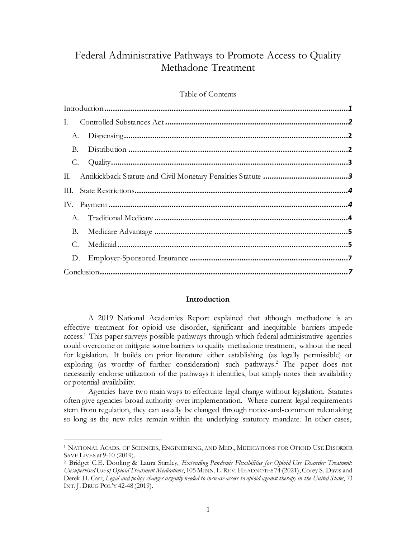# Federal Administrative Pathways to Promote Access to Quality Methadone Treatment

## Table of Contents

| $\mathbf{L}$ |  |
|--------------|--|
|              |  |
| B.           |  |
|              |  |
| П.           |  |
|              |  |
|              |  |
| A.           |  |
| В.           |  |
| C.           |  |
|              |  |
| D.           |  |
|              |  |

#### <span id="page-1-1"></span>**Introduction**

<span id="page-1-0"></span>A 2019 National Academies Report explained that although methadone is an effective treatment for opioid use disorder, significant and inequitable barriers impede access. <sup>1</sup> This paper surveys possible pathways through which federal administrative agencies could overcome or mitigate some barriers to quality methadone treatment, without the need for legislation. It builds on prior literature either establishing (as legally permissible) or exploring (as worthy of further consideration) such pathways. <sup>2</sup> The paper does not necessarily endorse utilization of the pathways it identifies, but simply notes their availability or potential availability.

Agencies have two main ways to effectuate legal change without legislation. Statutes often give agencies broad authority over implementation. Where current legal requirements stem from regulation, they can usually be changed through notice-and-comment rulemaking so long as the new rules remain within the underlying statutory mandate. In other cases,

<sup>1</sup> NATIONAL ACADS. OF SCIENCES, ENGINEERING, AND MED., MEDICATIONS FOR OPIOID USE DISORDER SAVE LIVES at 9-10 (2019).

<sup>2</sup> Bridget C.E. Dooling & Laura Stanley, *Extending Pandemic Flexibilities for Opioid Use Disorder Treatment: Unsupervised Use of Opioid Treatment Medications*, 105 MINN. L. REV. HEADNOTES 74 (2021); Corey S. Davis and Derek H. Carr, *Legal and policy changes urgently needed to increase access to opioid agonist therapy in the United States*, 73 INT. J. DRUG POL'Y 42-48 (2019).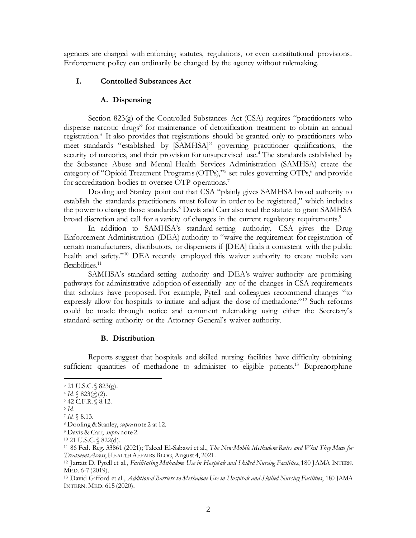agencies are charged with enforcing statutes, regulations, or even constitutional provisions. Enforcement policy can ordinarily be changed by the agency without rulemaking.

#### <span id="page-2-0"></span>**I. Controlled Substances Act**

#### **A. Dispensing**

<span id="page-2-1"></span>Section 823(g) of the Controlled Substances Act (CSA) requires "practitioners who dispense narcotic drugs" for maintenance of detoxification treatment to obtain an annual registration. 3 It also provides that registrations should be granted only to practitioners who meet standards "established by [SAMHSA]" governing practitioner qualifications, the security of narcotics, and their provision for unsupervised use.<sup>4</sup> The standards established by the Substance Abuse and Mental Health Services Administration (SAMHSA) create the category of "Opioid Treatment Programs (OTPs),"<sup>5</sup> set rules governing OTPs,<sup>6</sup> and provide for accreditation bodies to oversee OTP operations.<sup>7</sup>

Dooling and Stanley point out that CSA "plainly gives SAMHSA broad authority to establish the standards practitioners must follow in order to be registered," which includes the power to change those standards.<sup>8</sup> Davis and Carr also read the statute to grant SAMHSA broad discretion and call for a variety of changes in the current regulatory requirements.<sup>9</sup>

In addition to SAMHSA's standard-setting authority, CSA gives the Drug Enforcement Administration (DEA) authority to "waive the requirement for registration of certain manufacturers, distributors, or dispensers if [DEA] finds it consistent with the public health and safety."<sup>10</sup> DEA recently employed this waiver authority to create mobile van flexibilities.<sup>11</sup>

SAMHSA's standard-setting authority and DEA's waiver authority are promising pathways for administrative adoption of essentially any of the changes in CSA requirements that scholars have proposed. For example, Pytell and colleagues recommend changes "to expressly allow for hospitals to initiate and adjust the dose of methadone."<sup>12</sup> Such reforms could be made through notice and comment rulemaking using either the Secretary's standard-setting authority or the Attorney General's waiver authority.

#### **B. Distribution**

<span id="page-2-2"></span>Reports suggest that hospitals and skilled nursing facilities have difficulty obtaining sufficient quantities of methadone to administer to eligible patients.<sup>13</sup> Buprenorphine

-

<sup>3</sup> 21 U.S.C. § 823(g).

 $4$  *Id.* § 823(g)(2).

<sup>5</sup> 42 C.F.R. § 8.12.

<sup>6</sup> *Id.*

<sup>7</sup> *Id.* § 8.13.

<sup>8</sup> Dooling & Stanley, *supra* not[e 2](#page-1-1) at 12.

<sup>9</sup> Davis & Carr, *supra* not[e 2.](#page-1-1)

<sup>10</sup> 21 U.S.C. § 822(d).

<sup>11</sup> 86 Fed. Reg. 33861 (2021); Taleed El-Sabawi et al., *The New Mobile Methadone Rules and What They Mean for Treatment Access*, HEALTH AFFAIRS BLOG, August 4, 2021.

<sup>12</sup> Jarratt D. Pytell et al., *Facilitating Methadone Use in Hospitals and Skilled Nursing Facilities*, 180 JAMA INTERN. MED. 6-7 (2019).

<sup>13</sup> David Gifford et al., *Additional Barriers to Methadone Use in Hospitals and Skilled Nursing Facilities*, 180 JAMA INTERN. MED. 615 (2020).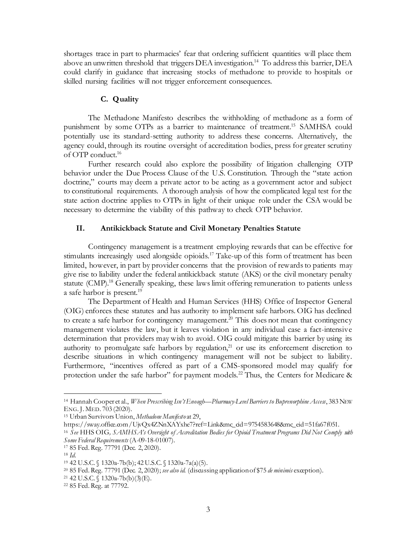shortages trace in part to pharmacies' fear that ordering sufficient quantities will place them above an unwritten threshold that triggers DEA investigation.<sup>14</sup> To address this barrier, DEA could clarify in guidance that increasing stocks of methadone to provide to hospitals or skilled nursing facilities will not trigger enforcement consequences.

#### **C. Quality**

<span id="page-3-0"></span>The Methadone Manifesto describes the withholding of methadone as a form of punishment by some OTPs as a barrier to maintenance of treatment. <sup>15</sup> SAMHSA could potentially use its standard-setting authority to address these concerns. Alternatively, the agency could, through its routine oversight of accreditation bodies, press for greater scrutiny of OTP conduct. 16

Further research could also explore the possibility of litigation challenging OTP behavior under the Due Process Clause of the U.S. Constitution. Through the "state action doctrine," courts may deem a private actor to be acting as a government actor and subject to constitutional requirements. A thorough analysis of how the complicated legal test for the state action doctrine applies to OTPs in light of their unique role under the CSA would be necessary to determine the viability of this pathway to check OTP behavior.

## <span id="page-3-1"></span>**II. Antikickback Statute and Civil Monetary Penalties Statute**

Contingency management is a treatment employing rewards that can be effective for stimulants increasingly used alongside opioids.<sup>17</sup> Take-up of this form of treatment has been limited, however, in part by provider concerns that the provision of rewards to patients may give rise to liability under the federal antikickback statute (AKS) or the civil monetary penalty statute (CMP).<sup>18</sup> Generally speaking, these laws limit offering remuneration to patients unless a safe harbor is present.<sup>19</sup>

The Department of Health and Human Services (HHS) Office of Inspector General (OIG) enforces these statutes and has authority to implement safe harbors. OIG has declined to create a safe harbor for contingency management.<sup>20</sup> This does not mean that contingency management violates the law, but it leaves violation in any individual case a fact-intensive determination that providers may wish to avoid. OIG could mitigate this barrier by using its authority to promulgate safe harbors by regulation, <sup>21</sup> or use its enforcement discretion to describe situations in which contingency management will not be subject to liability. Furthermore, "incentives offered as part of a CMS-sponsored model may qualify for protection under the safe harbor" for payment models.<sup>22</sup> Thus, the Centers for Medicare  $\&$ 

.

<sup>14</sup> Hannah Cooper et al., *When Prescribing Isn't Enough—Pharmacy-Level Barriers to Buprenorphine Access*, 383 NEW ENG.J. MED. 703 (2020).

<sup>15</sup> Urban Survivors Union, *Methadone Manifesto* at 29,

https://sway.office.com/UjvQx4ZNnXAYxhe7?ref=Link&mc\_cid=9754583648&mc\_eid=51fa67f051.

<sup>16</sup> *See* HHS OIG*, SAMHSA's Oversight of Accreditation Bodies for Opioid Treatment Programs Did Not Comply with Some Federal Requirements* (A-09-18-01007).

<sup>17</sup> 85 Fed. Reg. 77791 (Dec. 2, 2020).

<sup>18</sup> *Id*.

<sup>19</sup> 42 U.S.C. § 1320a-7b(b); 42 U.S.C. § 1320a-7a(a)(5).

<sup>20</sup> 85 Fed. Reg. 77791 (Dec. 2, 2020); *see also id.* (discussing application of \$75 *de minimis* exception).

 $21$  42 U.S.C. § 1320a-7b(b)(3)(E).

<sup>22</sup> 85 Fed. Reg. at 77792.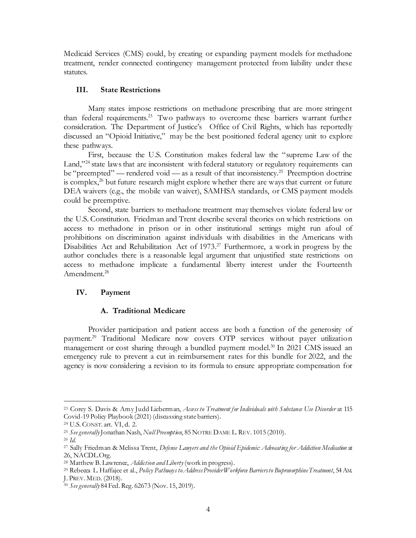Medicaid Services (CMS) could, by creating or expanding payment models for methadone treatment, render connected contingency management protected from liability under these statutes.

## <span id="page-4-0"></span>**III. State Restrictions**

Many states impose restrictions on methadone prescribing that are more stringent than federal requirements.<sup>23</sup> Two pathways to overcome these barriers warrant further consideration. The Department of Justice's Office of Civil Rights, which has reportedly discussed an "Opioid Initiative," may be the best positioned federal agency unit to explore these pathways.

First, because the U.S. Constitution makes federal law the "supreme Law of the Land,"<sup>24</sup> state laws that are inconsistent with federal statutory or regulatory requirements can be "preempted" — rendered void — as a result of that inconsistency.<sup>25</sup> Preemption doctrine is complex, $^{26}$  but future research might explore whether there are ways that current or future DEA waivers (e.g., the mobile van waiver), SAMHSA standards, or CMS payment models could be preemptive.

Second, state barriers to methadone treatment may themselves violate federal law or the U.S. Constitution. Friedman and Trent describe several theories on which restrictions on access to methadone in prison or in other institutional settings might run afoul of prohibitions on discrimination against individuals with disabilities in the Americans with Disabilities Act and Rehabilitation Act of 1973.<sup>27</sup> Furthermore, a work in progress by the author concludes there is a reasonable legal argument that unjustified state restrictions on access to methadone implicate a fundamental liberty interest under the Fourteenth Amendment. 28

## <span id="page-4-1"></span>**IV. Payment**

#### **A. Traditional Medicare**

<span id="page-4-2"></span>Provider participation and patient access are both a function of the generosity of payment. <sup>29</sup> Traditional Medicare now covers OTP services without payer utilization management or cost sharing through a bundled payment model. <sup>30</sup> In 2021 CMS issued an emergency rule to prevent a cut in reimbursement rates for this bundle for 2022, and the agency is now considering a revision to its formula to ensure appropriate compensation for

<sup>23</sup> Corey S. Davis & Amy Judd Lieberman, *Access to Treatment for Individuals with Substance Use Disorder* at 115 Covid-19 Policy Playbook (2021) (discussing state barriers).

<sup>&</sup>lt;sup>24</sup> U.S. CONST. art. VI, d. 2.

<sup>25</sup> *See generally* Jonathan Nash, *Null Preemption*, 85 NOTRE DAME L. REV. 1015 (2010).

<sup>26</sup> *Id.*

<sup>27</sup> Sally Friedman & Melissa Trent, *Defense Lawyers and the Opioid Epidemic: Advocating for Addiction Medication* at 26, NACDL.Org.

<sup>28</sup> Matthew B. Lawrence, *Addiction and Liberty* (work in progress).

<sup>29</sup> Rebecca L. Haffajee et al., *Policy Pathways to Address Provider Workforce Barriers to Buprenorphine Treatment*, 54 AM. J. PREV. MED. (2018).

<sup>30</sup> *See generally* 84 Fed. Reg. 62673 (Nov. 15, 2019).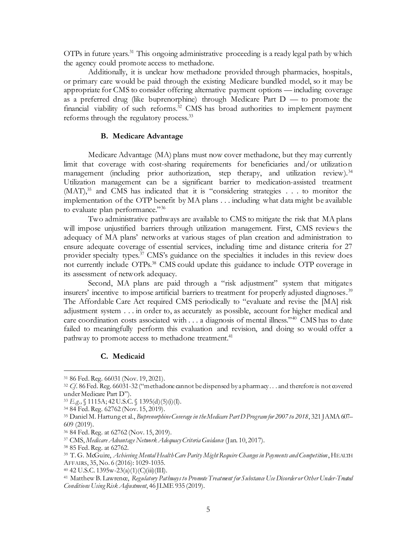OTPs in future years.<sup>31</sup> This ongoing administrative proceeding is a ready legal path by which the agency could promote access to methadone.

Additionally, it is unclear how methadone provided through pharmacies, hospitals, or primary care would be paid through the existing Medicare bundled model, so it may be appropriate for CMS to consider offering alternative payment options — including coverage as a preferred drug (like buprenorphine) through Medicare Part D — to promote the financial viability of such reforms.<sup>32</sup> CMS has broad authorities to implement payment reforms through the regulatory process.<sup>33</sup>

#### **B. Medicare Advantage**

<span id="page-5-0"></span>Medicare Advantage (MA) plans must now cover methadone, but they may currently limit that coverage with cost-sharing requirements for beneficiaries and/or utilization management (including prior authorization, step therapy, and utilization review).<sup>34</sup> Utilization management can be a significant barrier to medication-assisted treatment (MAT),<sup>35</sup> and CMS has indicated that it is "considering strategies . . . to monitor the implementation of the OTP benefit by MA plans . . . including what data might be available to evaluate plan performance."36

Two administrative pathways are available to CMS to mitigate the risk that MA plans will impose unjustified barriers through utilization management. First, CMS reviews the adequacy of MA plans' networks at various stages of plan creation and administration to ensure adequate coverage of essential services, including time and distance criteria for 27 provider specialty types.<sup>37</sup> CMS's guidance on the specialties it includes in this review does not currently include OTPs.<sup>38</sup> CMS could update this guidance to include OTP coverage in its assessment of network adequacy.

Second, MA plans are paid through a "risk adjustment" system that mitigates insurers' incentive to impose artificial barriers to treatment for properly adjusted diagnoses. 39 The Affordable Care Act required CMS periodically to "evaluate and revise the [MA] risk adjustment system . . . in order to, as accurately as possible, account for higher medical and care coordination costs associated with . . . a diagnosis of mental illness."<sup>40</sup> CMS has to date failed to meaningfully perform this evaluation and revision, and doing so would offer a pathway to promote access to methadone treatment.<sup>41</sup>

#### **C. Medicaid**

<span id="page-5-1"></span>-

<sup>31</sup> 86 Fed. Reg. 66031 (Nov. 19, 2021).

<sup>&</sup>lt;sup>32</sup> *Cf.* 86 Fed. Reg. 66031-32 ("methadone cannot be dispensed by a pharmacy ... and therefore is not covered under Medicare Part D").

 $33 E.g., \text{ } 1115A$ ;  $42 U.S.C. \text{ } 1395(d)(5)(i)(I).$ 

<sup>34</sup> 84 Fed. Reg. 62762 (Nov. 15, 2019).

<sup>35</sup> Daniel M. Hartung et al., *Buprenorphine Coverage in the Medicare Part D Program for 2007 to 2018*, 321 JAMA 607– 609 (2019).

<sup>36</sup> 84 Fed. Reg. at 62762 (Nov. 15, 2019).

<sup>37</sup> CMS, *Medicare Advantage Network Adequacy Criteria Guidance* (Jan. 10, 2017).

<sup>38</sup> 85 Fed. Reg. at 62762.

<sup>39</sup> T. G. McGuire, *Achieving Mental Health Care Parity Might Require Changes in Payments and Competition*, HEALTH AFFAIRS, 35, No. 6 (2016): 1029-1035.

<sup>40</sup> 42 U.S.C. 1395w-23(a)(1)(C)(iii)(III).

<sup>41</sup> Matthew B. Lawrence, *Regulatory Pathways to Promote Treatment for Substance Use Disorder or Other Under-Treated Conditions Using Risk Adjustment*, 46 JLME 935 (2019).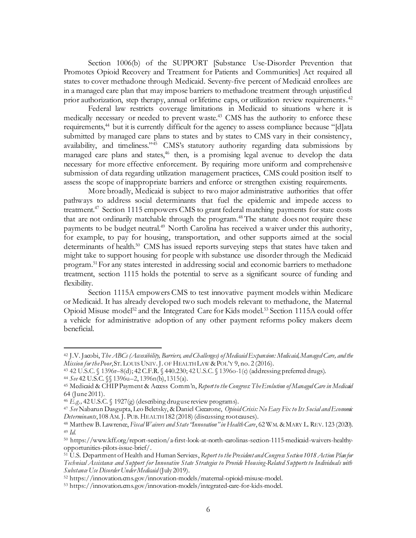Section 1006(b) of the SUPPORT [Substance Use-Disorder Prevention that Promotes Opioid Recovery and Treatment for Patients and Communities] Act required all states to cover methadone through Medicaid. Seventy-five percent of Medicaid enrollees are in a managed care plan that may impose barriers to methadone treatment through unjustified prior authorization, step therapy, annual or lifetime caps, or utilization review requirements.<sup>42</sup>

Federal law restricts coverage limitations in Medicaid to situations where it is medically necessary or needed to prevent waste.<sup>43</sup> CMS has the authority to enforce these requirements,<sup>44</sup> but it is currently difficult for the agency to assess compliance because "[d]ata submitted by managed care plans to states and by states to CMS vary in their consistency, availability, and timeliness."<sup>45</sup> CMS's statutory authority regarding data submissions by managed care plans and states,<sup> $46$ </sup> then, is a promising legal avenue to develop the data necessary for more effective enforcement. By requiring more uniform and comprehensive submission of data regarding utilization management practices, CMS could position itself to assess the scope of inappropriate barriers and enforce or strengthen existing requirements.

More broadly, Medicaid is subject to two major administrative authorities that offer pathways to address social determinants that fuel the epidemic and impede access to treatment.<sup>47</sup> Section 1115 empowers CMS to grant federal matching payments for state costs that are not ordinarily matchable through the program.<sup>48</sup> The statute does not require these payments to be budget neutral.<sup>49</sup> North Carolina has received a waiver under this authority, for example, to pay for housing, transportation, and other supports aimed at the social determinants of health. <sup>50</sup> CMS has issued reports surveying steps that states have taken and might take to support housing for people with substance use disorder through the Medicaid program.<sup>51</sup> For any states interested in addressing social and economic barriers to methadone treatment, section 1115 holds the potential to serve as a significant source of funding and flexibility.

Section 1115A empowers CMS to test innovative payment models within Medicare or Medicaid. It has already developed two such models relevant to methadone, the Maternal Opioid Misuse model<sup>52</sup> and the Integrated Care for Kids model.<sup>53</sup> Section 1115A could offer a vehicle for administrative adoption of any other payment reforms policy makers deem beneficial.

<sup>42</sup> J.V. Jacobi, *The ABCs (Accessibility, Barriers, andChallenges) of MedicaidExpansion: Medicaid,ManagedCare, and the Mission for the Poor*, St. LOUIS UNIV. J. OF HEALTH LAW & POL'Y 9, no. 2 (2016).

<sup>43</sup> 42 U.S.C. § 1396r–8(d); 42 C.F.R. § 440.230; 42 U.S.C. § 1396o-1(c) (addressing preferred drugs).

<sup>44</sup> *See* 42 U.S.C. §§ 1396u–2, 1396n(b), 1315(a).

<sup>45</sup> Medicaid & CHIPPayment & Access Comm'n, *Report to the Congress: TheEvolution of ManagedCare in Medicaid* 64 (June 2011).

<sup>46</sup> *E.g.,* 42 U.S.C. § 1927(g) (describing drug use review programs).

<sup>47</sup> *See* Nabarun Dasgupta, Leo Beletsky, &Daniel Ciccarone, *Opioid Crisis: No Easy Fix to Its Social and Economic Determinants*, 108 AM.J. PUB. HEALTH182 (2018) (discussing root causes).

<sup>48</sup> Matthew B. Lawrence, *Fiscal Waivers and State "Innovation" in Health Care*, 62 WM. & MARY L. REV. 123 (2020). <sup>49</sup> *Id.*

<sup>50</sup> [https://www.kff.org/report-section/a-first-look-at-north-carolinas-section-1115-medicaid-waivers-healthy](https://www.kff.org/report-section/a-first-look-at-north-carolinas-section-1115-medicaid-waivers-healthy-opportunities-pilots-issue-brief/)[opportunities-pilots-issue-brief/](https://www.kff.org/report-section/a-first-look-at-north-carolinas-section-1115-medicaid-waivers-healthy-opportunities-pilots-issue-brief/).

<sup>51</sup> U.S. Department of Health and Human Services, *Report to the President and Congress Section 1018 Action Plan for Technical Assistance and Support for Innovative State Strategies to Provide Housing-Related Supports to Individuals with Substance Use Disorder Under Medicaid* (July 2019).

<sup>52</sup> https://innovation.cms.gov/innovation-models/maternal-opioid-misuse-model.

<sup>53</sup> https://innovation.cms.gov/innovation-models/integrated-care-for-kids-model.